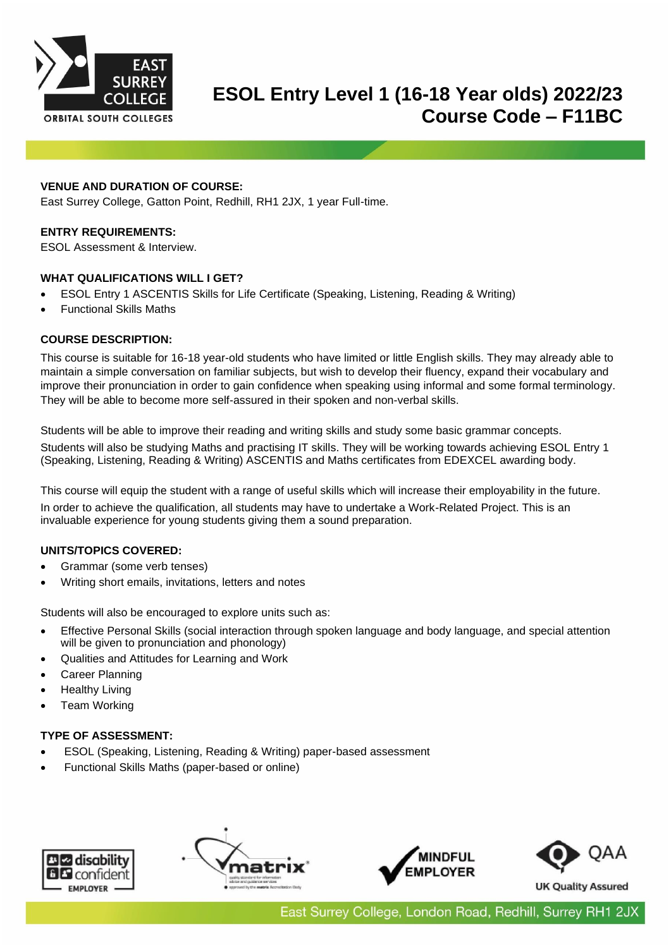

# **ESOL Entry Level 1 (16-18 Year olds) 2022/23 Course Code – F11BC**

## **VENUE AND DURATION OF COURSE:**

East Surrey College, Gatton Point, Redhill, RH1 2JX, 1 year Full-time.

## **ENTRY REQUIREMENTS:**

ESOL Assessment & Interview.

# **WHAT QUALIFICATIONS WILL I GET?**

- ESOL Entry 1 ASCENTIS Skills for Life Certificate (Speaking, Listening, Reading & Writing)
- Functional Skills Maths

# **COURSE DESCRIPTION:**

This course is suitable for 16-18 year-old students who have limited or little English skills. They may already able to maintain a simple conversation on familiar subjects, but wish to develop their fluency, expand their vocabulary and improve their pronunciation in order to gain confidence when speaking using informal and some formal terminology. They will be able to become more self-assured in their spoken and non-verbal skills.

Students will be able to improve their reading and writing skills and study some basic grammar concepts.

Students will also be studying Maths and practising IT skills. They will be working towards achieving ESOL Entry 1 (Speaking, Listening, Reading & Writing) ASCENTIS and Maths certificates from EDEXCEL awarding body.

This course will equip the student with a range of useful skills which will increase their employability in the future. In order to achieve the qualification, all students may have to undertake a Work-Related Project. This is an invaluable experience for young students giving them a sound preparation.

## **UNITS/TOPICS COVERED:**

- Grammar (some verb tenses)
- Writing short emails, invitations, letters and notes

Students will also be encouraged to explore units such as:

- Effective Personal Skills (social interaction through spoken language and body language, and special attention will be given to pronunciation and phonology)
- Qualities and Attitudes for Learning and Work
- Career Planning
- **Healthy Living**
- **Team Working**

## **TYPE OF ASSESSMENT:**

- ESOL (Speaking, Listening, Reading & Writing) paper-based assessment
- Functional Skills Maths (paper-based or online)